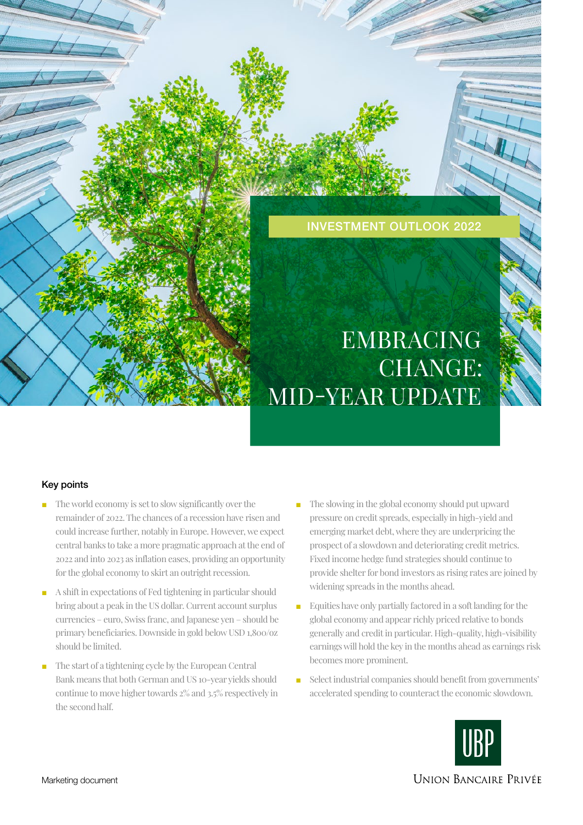

# EMBRACING CHANGE: MID-YEAR UPDATE

# Key points

- The world economy is set to slow significantly over the remainder of 2022. The chances of a recession have risen and could increase further, notably in Europe. However, we expect central banks to take a more pragmatic approach at the end of 2022 and into 2023 as inflation eases, providing an opportunity for the global economy to skirt an outright recession.
- A shift in expectations of Fed tightening in particular should bring about a peak in the US dollar. Current account surplus currencies – euro, Swiss franc, and Japanese yen – should be primary beneficiaries. Downside in gold below USD 1,800/oz should be limited.
- The start of a tightening cycle by the European Central Bank means that both German and US 10-year yields should continue to move higher towards 2% and 3.5% respectively in the second half.
- The slowing in the global economy should put upward pressure on credit spreads, especially in high-yield and emerging market debt, where they are underpricing the prospect of a slowdown and deteriorating credit metrics. Fixed income hedge fund strategies should continue to provide shelter for bond investors as rising rates are joined by widening spreads in the months ahead.
- Equities have only partially factored in a soft landing for the global economy and appear richly priced relative to bonds generally and credit in particular. High-quality, high-visibility earnings will hold the key in the months ahead as earnings risk becomes more prominent.
- Select industrial companies should benefit from governments' accelerated spending to counteract the economic slowdown.



**UNION BANCAIRE PRIVÉE**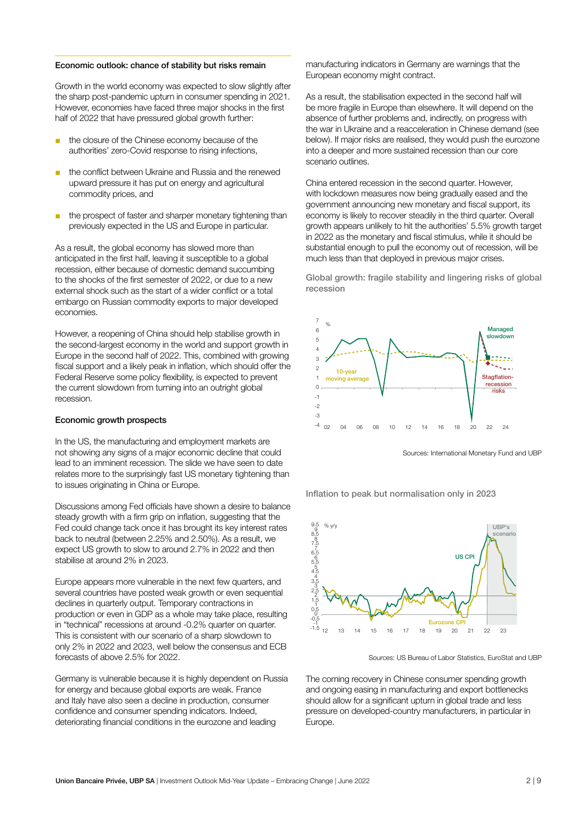#### Economic outlook: chance of stability but risks remain

Growth in the world economy was expected to slow slightly after the sharp post-pandemic upturn in consumer spending in 2021. However, economies have faced three major shocks in the first half of 2022 that have pressured global growth further:

- the closure of the Chinese economy because of the authorities' zero-Covid response to rising infections,
- the conflict between Ukraine and Russia and the renewed upward pressure it has put on energy and agricultural commodity prices, and
- the prospect of faster and sharper monetary tightening than previously expected in the US and Europe in particular.

As a result, the global economy has slowed more than anticipated in the first half, leaving it susceptible to a global recession, either because of domestic demand succumbing to the shocks of the first semester of 2022, or due to a new external shock such as the start of a wider conflict or a total embargo on Russian commodity exports to major developed economies.

However, a reopening of China should help stabilise growth in the second-largest economy in the world and support growth in Europe in the second half of 2022. This, combined with growing fiscal support and a likely peak in inflation, which should offer the Federal Reserve some policy flexibility, is expected to prevent the current slowdown from turning into an outright global recession.

#### Economic growth prospects

In the US, the manufacturing and employment markets are not showing any signs of a major economic decline that could lead to an imminent recession. The slide we have seen to date relates more to the surprisingly fast US monetary tightening than to issues originating in China or Europe.

Discussions among Fed officials have shown a desire to balance steady growth with a firm grip on inflation, suggesting that the Fed could change tack once it has brought its key interest rates back to neutral (between 2.25% and 2.50%). As a result, we expect US growth to slow to around 2.7% in 2022 and then stabilise at around 2% in 2023.

Europe appears more vulnerable in the next few quarters, and several countries have posted weak growth or even sequential declines in quarterly output. Temporary contractions in production or even in GDP as a whole may take place, resulting in "technical" recessions at around -0.2% quarter on quarter. This is consistent with our scenario of a sharp slowdown to only 2% in 2022 and 2023, well below the consensus and ECB forecasts of above 2.5% for 2022.

Germany is vulnerable because it is highly dependent on Russia for energy and because global exports are weak. France and Italy have also seen a decline in production, consumer confidence and consumer spending indicators. Indeed, deteriorating financial conditions in the eurozone and leading

manufacturing indicators in Germany are warnings that the European economy might contract.

As a result, the stabilisation expected in the second half will be more fragile in Europe than elsewhere. It will depend on the absence of further problems and, indirectly, on progress with the war in Ukraine and a reacceleration in Chinese demand (see below). If major risks are realised, they would push the eurozone into a deeper and more sustained recession than our core scenario outlines.

China entered recession in the second quarter. However, with lockdown measures now being gradually eased and the government announcing new monetary and fiscal support, its economy is likely to recover steadily in the third quarter. Overall growth appears unlikely to hit the authorities' 5.5% growth target in 2022 as the monetary and fiscal stimulus, while it should be substantial enough to pull the economy out of recession, will be much less than that deployed in previous major crises.

Global growth: fragile stability and lingering risks of global recession



Sources: International Monetary Fund and UBP

Inflation to peak but normalisation only in 2023



Sources: US Bureau of Labor Statistics, EuroStat and UBP

The coming recovery in Chinese consumer spending growth and ongoing easing in manufacturing and export bottlenecks should allow for a significant upturn in global trade and less pressure on developed-country manufacturers, in particular in Europe.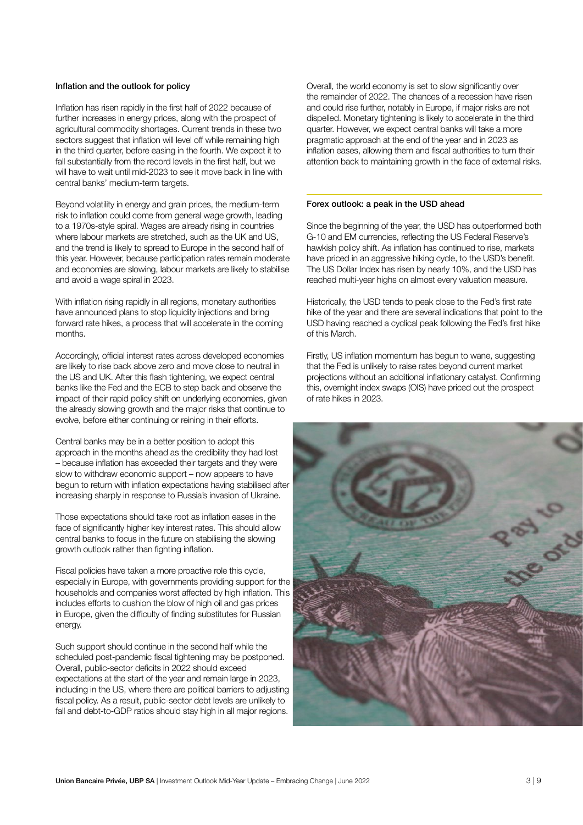## Inflation and the outlook for policy

Inflation has risen rapidly in the first half of 2022 because of further increases in energy prices, along with the prospect of agricultural commodity shortages. Current trends in these two sectors suggest that inflation will level off while remaining high in the third quarter, before easing in the fourth. We expect it to fall substantially from the record levels in the first half, but we will have to wait until mid-2023 to see it move back in line with central banks' medium-term targets.

Beyond volatility in energy and grain prices, the medium-term risk to inflation could come from general wage growth, leading to a 1970s-style spiral. Wages are already rising in countries where labour markets are stretched, such as the UK and US, and the trend is likely to spread to Europe in the second half of this year. However, because participation rates remain moderate and economies are slowing, labour markets are likely to stabilise and avoid a wage spiral in 2023.

With inflation rising rapidly in all regions, monetary authorities have announced plans to stop liquidity injections and bring forward rate hikes, a process that will accelerate in the coming months.

Accordingly, official interest rates across developed economies are likely to rise back above zero and move close to neutral in the US and UK. After this flash tightening, we expect central banks like the Fed and the ECB to step back and observe the impact of their rapid policy shift on underlying economies, given the already slowing growth and the major risks that continue to evolve, before either continuing or reining in their efforts.

Central banks may be in a better position to adopt this approach in the months ahead as the credibility they had lost – because inflation has exceeded their targets and they were slow to withdraw economic support – now appears to have begun to return with inflation expectations having stabilised after increasing sharply in response to Russia's invasion of Ukraine.

Those expectations should take root as inflation eases in the face of significantly higher key interest rates. This should allow central banks to focus in the future on stabilising the slowing growth outlook rather than fighting inflation.

Fiscal policies have taken a more proactive role this cycle, especially in Europe, with governments providing support for the households and companies worst affected by high inflation. This includes efforts to cushion the blow of high oil and gas prices in Europe, given the difficulty of finding substitutes for Russian energy.

Such support should continue in the second half while the scheduled post-pandemic fiscal tightening may be postponed. Overall, public-sector deficits in 2022 should exceed expectations at the start of the year and remain large in 2023, including in the US, where there are political barriers to adjusting fiscal policy. As a result, public-sector debt levels are unlikely to fall and debt-to-GDP ratios should stay high in all major regions.

Overall, the world economy is set to slow significantly over the remainder of 2022. The chances of a recession have risen and could rise further, notably in Europe, if major risks are not dispelled. Monetary tightening is likely to accelerate in the third quarter. However, we expect central banks will take a more pragmatic approach at the end of the year and in 2023 as inflation eases, allowing them and fiscal authorities to turn their attention back to maintaining growth in the face of external risks.

#### Forex outlook: a peak in the USD ahead

Since the beginning of the year, the USD has outperformed both G-10 and EM currencies, reflecting the US Federal Reserve's hawkish policy shift. As inflation has continued to rise, markets have priced in an aggressive hiking cycle, to the USD's benefit. The US Dollar Index has risen by nearly 10%, and the USD has reached multi-year highs on almost every valuation measure.

Historically, the USD tends to peak close to the Fed's first rate hike of the year and there are several indications that point to the USD having reached a cyclical peak following the Fed's first hike of this March.

Firstly, US inflation momentum has begun to wane, suggesting that the Fed is unlikely to raise rates beyond current market projections without an additional inflationary catalyst. Confirming this, overnight index swaps (OIS) have priced out the prospect of rate hikes in 2023.

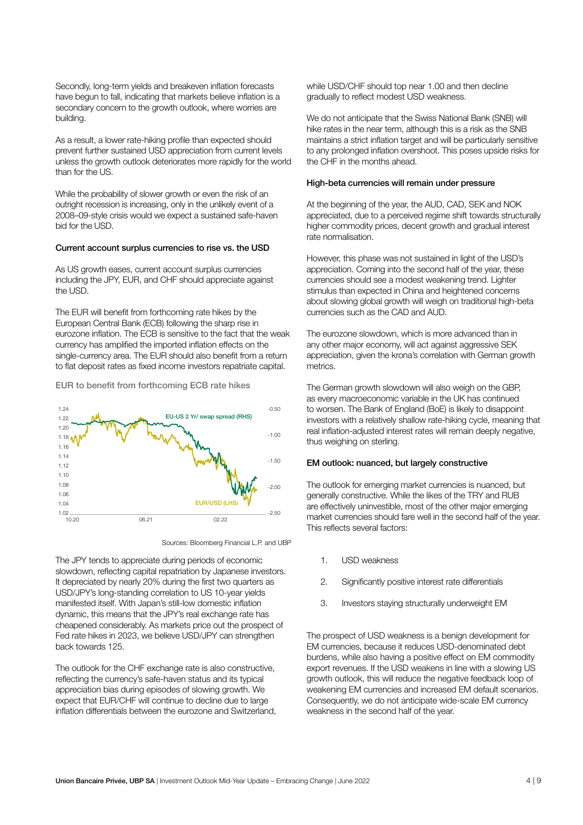Secondly, long-term yields and breakeven inflation forecasts have begun to fall, indicating that markets believe inflation is a secondary concern to the growth outlook, where worries are building.

As a result, a lower rate-hiking profile than expected should prevent further sustained USD appreciation from current levels unless the growth outlook deteriorates more rapidly for the world than for the US.

While the probability of slower growth or even the risk of an outright recession is increasing, only in the unlikely event of a 2008–09-style crisis would we expect a sustained safe-haven bid for the USD.

#### Current account surplus currencies to rise vs. the USD

As US growth eases, current account surplus currencies including the JPY, EUR, and CHF should appreciate against the USD.

The EUR will benefit from forthcoming rate hikes by the European Central Bank (ECB) following the sharp rise in eurozone inflation. The ECB is sensitive to the fact that the weak currency has amplified the imported inflation effects on the single-currency area. The EUR should also benefit from a return to flat deposit rates as fixed income investors repatriate capital.

EUR to benefit from forthcoming ECB rate hikes





The JPY tends to appreciate during periods of economic slowdown, reflecting capital repatriation by Japanese investors. It depreciated by nearly 20% during the first two quarters as USD/JPY's long-standing correlation to US 10-year yields manifested itself. With Japan's still-low domestic inflation dynamic, this means that the JPY's real exchange rate has cheapened considerably. As markets price out the prospect of Fed rate hikes in 2023, we believe USD/JPY can strengthen back towards 125.

The outlook for the CHF exchange rate is also constructive, reflecting the currency's safe-haven status and its typical appreciation bias during episodes of slowing growth. We expect that EUR/CHF will continue to decline due to large inflation differentials between the eurozone and Switzerland,

while USD/CHF should top near 1.00 and then decline gradually to reflect modest USD weakness.

We do not anticipate that the Swiss National Bank (SNB) will hike rates in the near term, although this is a risk as the SNB maintains a strict inflation target and will be particularly sensitive to any prolonged inflation overshoot. This poses upside risks for the CHF in the months ahead.

#### High-beta currencies will remain under pressure

At the beginning of the year, the AUD, CAD, SEK and NOK appreciated, due to a perceived regime shift towards structurally higher commodity prices, decent growth and gradual interest rate normalisation.

However, this phase was not sustained in light of the USD's appreciation. Coming into the second half of the year, these currencies should see a modest weakening trend. Lighter stimulus than expected in China and heightened concerns about slowing global growth will weigh on traditional high-beta currencies such as the CAD and AUD.

The eurozone slowdown, which is more advanced than in any other major economy, will act against aggressive SEK appreciation, given the krona's correlation with German growth metrics.

The German growth slowdown will also weigh on the GBP, as every macroeconomic variable in the UK has continued to worsen. The Bank of England (BoE) is likely to disappoint investors with a relatively shallow rate-hiking cycle, meaning that real inflation-adjusted interest rates will remain deeply negative, thus weighing on sterling.

#### EM outlook: nuanced, but largely constructive

The outlook for emerging market currencies is nuanced, but generally constructive. While the likes of the TRY and RUB are effectively uninvestible, most of the other major emerging market currencies should fare well in the second half of the year. This reflects several factors:

- 1. USD weakness
- 2. Significantly positive interest rate differentials
- 3. Investors staying structurally underweight EM

The prospect of USD weakness is a benign development for EM currencies, because it reduces USD-denominated debt burdens, while also having a positive effect on EM commodity export revenues. If the USD weakens in line with a slowing US growth outlook, this will reduce the negative feedback loop of weakening EM currencies and increased EM default scenarios. Consequently, we do not anticipate wide-scale EM currency weakness in the second half of the year.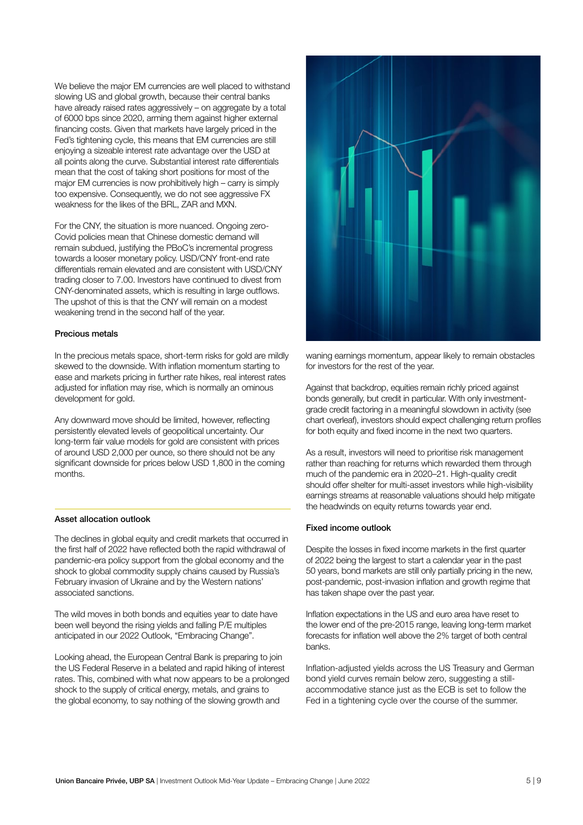We believe the major FM currencies are well placed to withstand slowing US and global growth, because their central banks have already raised rates aggressively – on aggregate by a total of 6000 bps since 2020, arming them against higher external financing costs. Given that markets have largely priced in the Fed's tightening cycle, this means that EM currencies are still enjoying a sizeable interest rate advantage over the USD at all points along the curve. Substantial interest rate differentials mean that the cost of taking short positions for most of the major EM currencies is now prohibitively high – carry is simply too expensive. Consequently, we do not see aggressive FX weakness for the likes of the BRL, ZAR and MXN.

For the CNY, the situation is more nuanced. Ongoing zero-Covid policies mean that Chinese domestic demand will remain subdued, justifying the PBoC's incremental progress towards a looser monetary policy. USD/CNY front-end rate differentials remain elevated and are consistent with USD/CNY trading closer to 7.00. Investors have continued to divest from CNY-denominated assets, which is resulting in large outflows. The upshot of this is that the CNY will remain on a modest weakening trend in the second half of the year.

## Precious metals

In the precious metals space, short-term risks for gold are mildly skewed to the downside. With inflation momentum starting to ease and markets pricing in further rate hikes, real interest rates adjusted for inflation may rise, which is normally an ominous development for gold.

Any downward move should be limited, however, reflecting persistently elevated levels of geopolitical uncertainty. Our long-term fair value models for gold are consistent with prices of around USD 2,000 per ounce, so there should not be any significant downside for prices below USD 1,800 in the coming months.

## Asset allocation outlook

The declines in global equity and credit markets that occurred in the first half of 2022 have reflected both the rapid withdrawal of pandemic-era policy support from the global economy and the shock to global commodity supply chains caused by Russia's February invasion of Ukraine and by the Western nations' associated sanctions.

The wild moves in both bonds and equities year to date have been well beyond the rising yields and falling P/E multiples anticipated in our 2022 Outlook, "Embracing Change".

Looking ahead, the European Central Bank is preparing to join the US Federal Reserve in a belated and rapid hiking of interest rates. This, combined with what now appears to be a prolonged shock to the supply of critical energy, metals, and grains to the global economy, to say nothing of the slowing growth and



waning earnings momentum, appear likely to remain obstacles for investors for the rest of the year.

Against that backdrop, equities remain richly priced against bonds generally, but credit in particular. With only investmentgrade credit factoring in a meaningful slowdown in activity (see chart overleaf), investors should expect challenging return profiles for both equity and fixed income in the next two quarters.

As a result, investors will need to prioritise risk management rather than reaching for returns which rewarded them through much of the pandemic era in 2020–21. High-quality credit should offer shelter for multi-asset investors while high-visibility earnings streams at reasonable valuations should help mitigate the headwinds on equity returns towards year end.

#### Fixed income outlook

Despite the losses in fixed income markets in the first quarter of 2022 being the largest to start a calendar year in the past 50 years, bond markets are still only partially pricing in the new, post-pandemic, post-invasion inflation and growth regime that has taken shape over the past year.

Inflation expectations in the US and euro area have reset to the lower end of the pre-2015 range, leaving long-term market forecasts for inflation well above the 2% target of both central banks.

Inflation-adjusted yields across the US Treasury and German bond yield curves remain below zero, suggesting a stillaccommodative stance just as the ECB is set to follow the Fed in a tightening cycle over the course of the summer.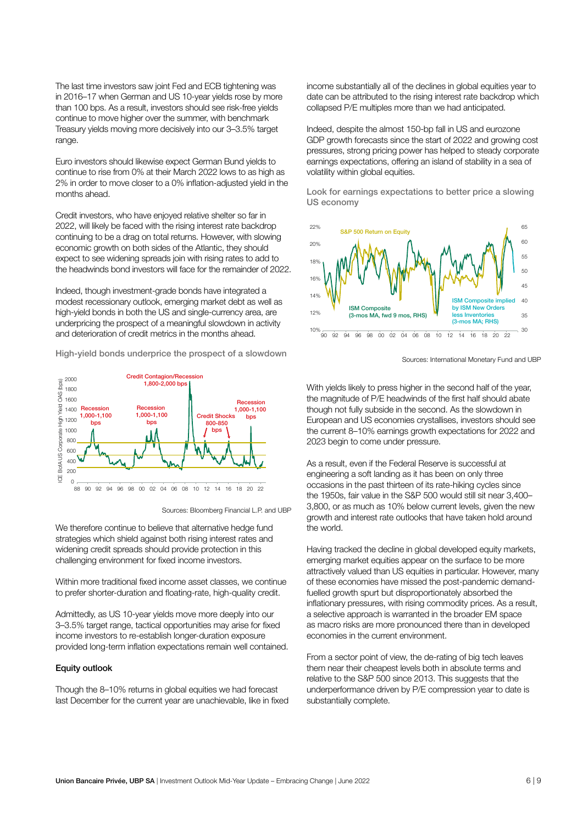The last time investors saw joint Fed and ECB tightening was in 2016–17 when German and US 10-year yields rose by more than 100 bps. As a result, investors should see risk-free yields continue to move higher over the summer, with benchmark Treasury yields moving more decisively into our 3–3.5% target range.

Euro investors should likewise expect German Bund yields to continue to rise from 0% at their March 2022 lows to as high as 2% in order to move closer to a 0% inflation-adjusted yield in the months ahead.

Credit investors, who have enjoyed relative shelter so far in 2022, will likely be faced with the rising interest rate backdrop continuing to be a drag on total returns. However, with slowing economic growth on both sides of the Atlantic, they should expect to see widening spreads join with rising rates to add to the headwinds bond investors will face for the remainder of 2022.

Indeed, though investment-grade bonds have integrated a modest recessionary outlook, emerging market debt as well as high-yield bonds in both the US and single-currency area, are underpricing the prospect of a meaningful slowdown in activity and deterioration of credit metrics in the months ahead.

High-yield bonds underprice the prospect of a slowdown



Sources: Bloomberg Financial L.P. and UBP

We therefore continue to believe that alternative hedge fund strategies which shield against both rising interest rates and widening credit spreads should provide protection in this challenging environment for fixed income investors.

Within more traditional fixed income asset classes, we continue to prefer shorter-duration and floating-rate, high-quality credit.

Admittedly, as US 10-year yields move more deeply into our 3–3.5% target range, tactical opportunities may arise for fixed income investors to re-establish longer-duration exposure provided long-term inflation expectations remain well contained.

### Equity outlook

Though the 8–10% returns in global equities we had forecast last December for the current year are unachievable, like in fixed

income substantially all of the declines in global equities year to date can be attributed to the rising interest rate backdrop which collapsed P/E multiples more than we had anticipated.

Indeed, despite the almost 150-bp fall in US and eurozone GDP growth forecasts since the start of 2022 and growing cost pressures, strong pricing power has helped to steady corporate earnings expectations, offering an island of stability in a sea of volatility within global equities.

Look for earnings expectations to better price a slowing US economy



Sources: International Monetary Fund and UBP

With yields likely to press higher in the second half of the year, the magnitude of P/E headwinds of the first half should abate though not fully subside in the second. As the slowdown in European and US economies crystallises, investors should see the current 8–10% earnings growth expectations for 2022 and 2023 begin to come under pressure.

As a result, even if the Federal Reserve is successful at engineering a soft landing as it has been on only three occasions in the past thirteen of its rate-hiking cycles since the 1950s, fair value in the S&P 500 would still sit near 3,400– 3,800, or as much as 10% below current levels, given the new growth and interest rate outlooks that have taken hold around the world.

Having tracked the decline in global developed equity markets, emerging market equities appear on the surface to be more attractively valued than US equities in particular. However, many of these economies have missed the post-pandemic demandfuelled growth spurt but disproportionately absorbed the inflationary pressures, with rising commodity prices. As a result, a selective approach is warranted in the broader EM space as macro risks are more pronounced there than in developed economies in the current environment.

From a sector point of view, the de-rating of big tech leaves them near their cheapest levels both in absolute terms and relative to the S&P 500 since 2013. This suggests that the underperformance driven by P/E compression year to date is substantially complete.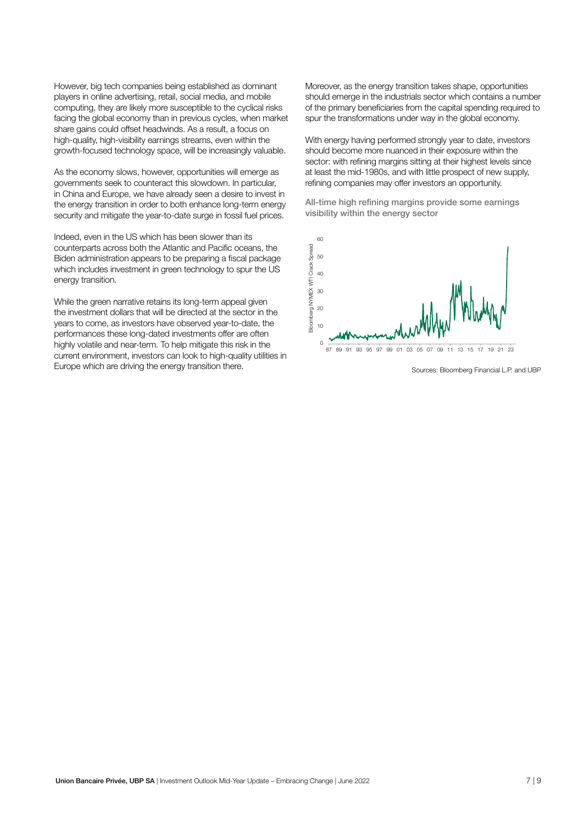However, big tech companies being established as dominant players in online advertising, retail, social media, and mobile computing, they are likely more susceptible to the cyclical risks facing the global economy than in previous cycles, when market share gains could offset headwinds. As a result, a focus on high-quality, high-visibility earnings streams, even within the growth-focused technology space, will be increasingly valuable.

As the economy slows, however, opportunities will emerge as governments seek to counteract this slowdown. In particular, in China and Europe, we have already seen a desire to invest in the energy transition in order to both enhance long-term energy security and mitigate the year-to-date surge in fossil fuel prices.

Indeed, even in the US which has been slower than its counterparts across both the Atlantic and Pacific oceans, the Biden administration appears to be preparing a fiscal package which includes investment in green technology to spur the US energy transition.

While the green narrative retains its long-term appeal given the investment dollars that will be directed at the sector in the years to come, as investors have observed year-to-date, the performances these long-dated investments offer are often highly volatile and near-term. To help mitigate this risk in the current environment, investors can look to high-quality utilities in Europe which are driving the energy transition there.

Moreover, as the energy transition takes shape, opportunities should emerge in the industrials sector which contains a number of the primary beneficiaries from the capital spending required to spur the transformations under way in the global economy.

With energy having performed strongly year to date, investors should become more nuanced in their exposure within the sector: with refining margins sitting at their highest levels since at least the mid-1980s, and with little prospect of new supply, refining companies may offer investors an opportunity.

All-time high refining margins provide some earnings visibility within the energy sector



Sources: Bloomberg Financial L.P. and UBP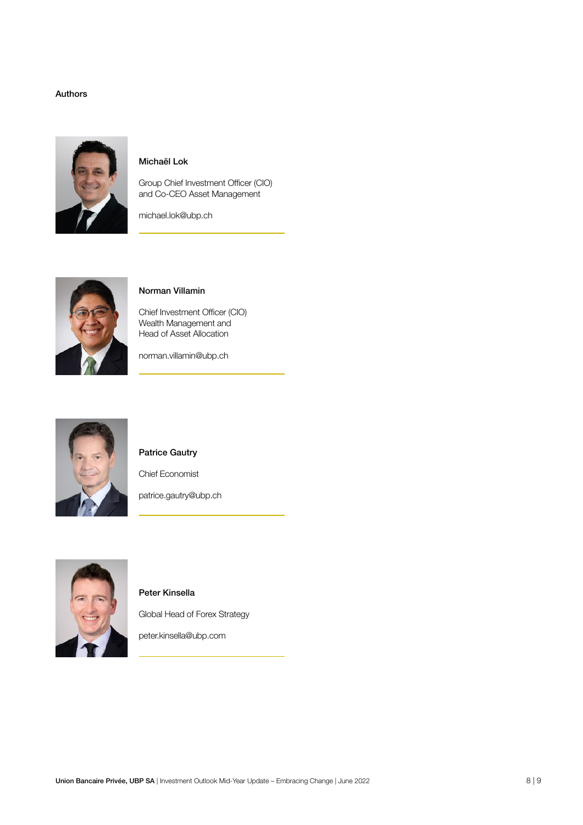## Authors



# Michaël Lok

Group Chief Investment Officer (CIO) and Co-CEO Asset Management

michael.lok@ubp.ch



# Norman Villamin

Chief Investment Officer (CIO) Wealth Management and Head of Asset Allocation

norman.villamin@ubp.ch



# Patrice Gautry

Chief Economist

patrice.gautry@ubp.ch



# Peter Kinsella

Global Head of Forex Strategy

peter.kinsella@ubp.com